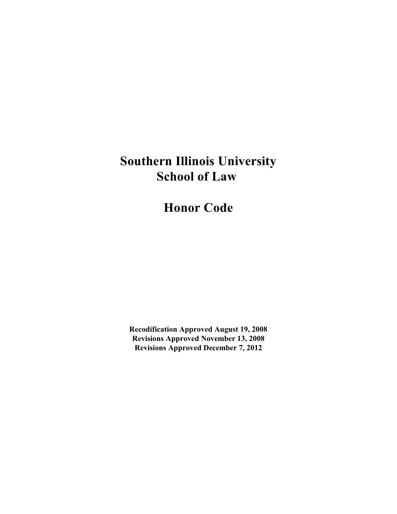# **Southern Illinois University School of Law**

**Honor Code**

**Recodification Approved August 19, 2008 Revisions Approved November 13, 2008 Revisions Approved December 7, 2012**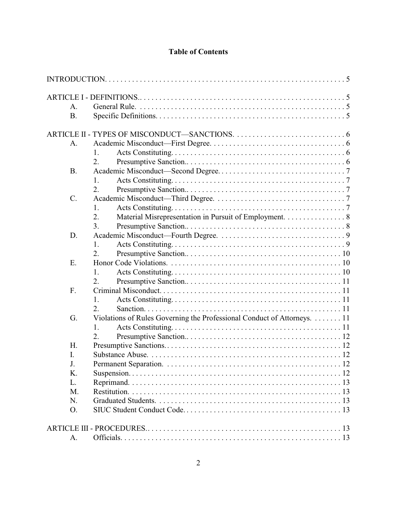## **Table of Contents**

| А.        |                                                                         |  |
|-----------|-------------------------------------------------------------------------|--|
| <b>B.</b> |                                                                         |  |
|           |                                                                         |  |
|           |                                                                         |  |
| A.        |                                                                         |  |
|           | 1.                                                                      |  |
|           | 2.                                                                      |  |
| <b>B.</b> |                                                                         |  |
|           | $\mathbf{1}$ .                                                          |  |
|           | 2.                                                                      |  |
| $C$ .     |                                                                         |  |
|           | 1.                                                                      |  |
|           | 2.<br>Material Misrepresentation in Pursuit of Employment. 8            |  |
|           | 3.                                                                      |  |
| D.        |                                                                         |  |
|           | 1.                                                                      |  |
|           | 2.                                                                      |  |
| E.        |                                                                         |  |
|           | 1.                                                                      |  |
|           | 2.                                                                      |  |
| F.        |                                                                         |  |
|           | 1.                                                                      |  |
|           | 2.                                                                      |  |
| G.        | Violations of Rules Governing the Professional Conduct of Attorneys. 11 |  |
|           | 1.                                                                      |  |
|           | 2.                                                                      |  |
| H.        |                                                                         |  |
| I.        |                                                                         |  |
| J.        |                                                                         |  |
| K.        |                                                                         |  |
| L.        |                                                                         |  |
| M.        |                                                                         |  |
| N.        |                                                                         |  |
| O.        |                                                                         |  |
|           |                                                                         |  |
| A.        |                                                                         |  |
|           |                                                                         |  |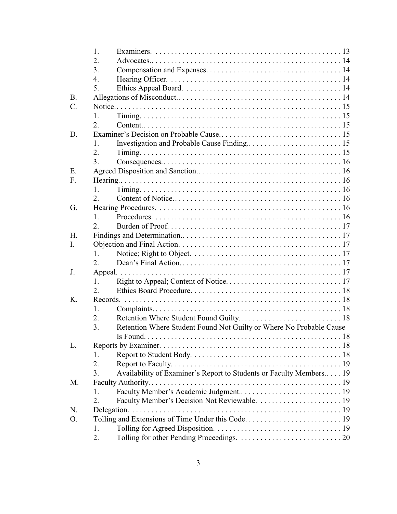|             | 1.                                                                        |  |
|-------------|---------------------------------------------------------------------------|--|
|             | 2.                                                                        |  |
|             | 3.                                                                        |  |
|             | $\overline{4}$ .                                                          |  |
|             | 5.                                                                        |  |
| <b>B.</b>   |                                                                           |  |
| $C_{\cdot}$ |                                                                           |  |
|             | 1.                                                                        |  |
|             | 2.                                                                        |  |
| D.          |                                                                           |  |
|             | $\mathbf{1}$ .                                                            |  |
|             | 2.                                                                        |  |
|             | $\overline{3}$ .                                                          |  |
| E.          |                                                                           |  |
| F.          |                                                                           |  |
|             | 1 <sub>1</sub>                                                            |  |
|             | 2.                                                                        |  |
| G.          |                                                                           |  |
|             | 1 <sub>1</sub>                                                            |  |
|             | $\overline{2}$ .                                                          |  |
| H.          |                                                                           |  |
| L.          |                                                                           |  |
|             | 1.                                                                        |  |
|             | 2.                                                                        |  |
| J.          |                                                                           |  |
|             | 1.                                                                        |  |
|             | $\overline{2}$ .                                                          |  |
| Κ.          |                                                                           |  |
|             | 1.                                                                        |  |
|             | 2.                                                                        |  |
|             | 3.<br>Retention Where Student Found Not Guilty or Where No Probable Cause |  |
|             | Is Found.                                                                 |  |
| L.          |                                                                           |  |
|             | 1.                                                                        |  |
|             | 2.                                                                        |  |
|             | Availability of Examiner's Report to Students or Faculty Members 19<br>3. |  |
| M.          |                                                                           |  |
|             | 1.                                                                        |  |
|             | 2.                                                                        |  |
| N.          |                                                                           |  |
| Ο.          |                                                                           |  |
|             | 1.                                                                        |  |
|             | 2.                                                                        |  |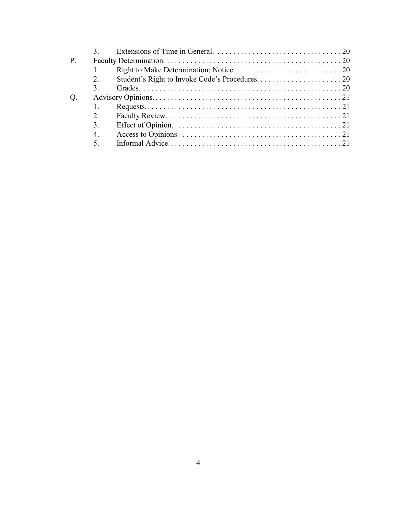| 2.          |  |
|-------------|--|
| 3.          |  |
|             |  |
|             |  |
| 2.          |  |
| 3.          |  |
| $4_{\cdot}$ |  |
| $5^{\circ}$ |  |
|             |  |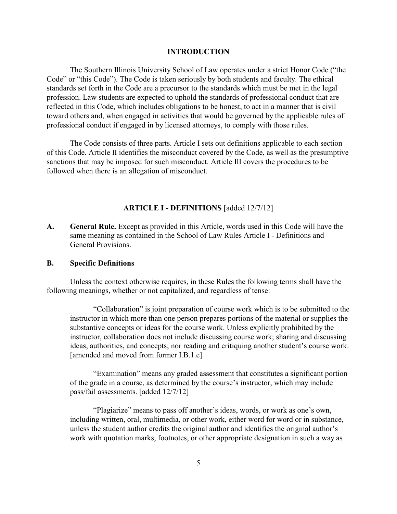#### **INTRODUCTION**

The Southern Illinois University School of Law operates under a strict Honor Code ("the Code" or "this Code"). The Code is taken seriously by both students and faculty. The ethical standards set forth in the Code are a precursor to the standards which must be met in the legal profession. Law students are expected to uphold the standards of professional conduct that are reflected in this Code, which includes obligations to be honest, to act in a manner that is civil toward others and, when engaged in activities that would be governed by the applicable rules of professional conduct if engaged in by licensed attorneys, to comply with those rules.

The Code consists of three parts. Article I sets out definitions applicable to each section of this Code. Article II identifies the misconduct covered by the Code, as well as the presumptive sanctions that may be imposed for such misconduct. Article III covers the procedures to be followed when there is an allegation of misconduct.

#### **ARTICLE I - DEFINITIONS** [added 12/7/12]

**A. General Rule.** Except as provided in this Article, words used in this Code will have the same meaning as contained in the School of Law Rules Article I - Definitions and General Provisions.

#### **B. Specific Definitions**

Unless the context otherwise requires, in these Rules the following terms shall have the following meanings, whether or not capitalized, and regardless of tense:

"Collaboration" is joint preparation of course work which is to be submitted to the instructor in which more than one person prepares portions of the material or supplies the substantive concepts or ideas for the course work. Unless explicitly prohibited by the instructor, collaboration does not include discussing course work; sharing and discussing ideas, authorities, and concepts; nor reading and critiquing another student's course work. [amended and moved from former I.B.1.e]

"Examination" means any graded assessment that constitutes a significant portion of the grade in a course, as determined by the course's instructor, which may include pass/fail assessments. [added 12/7/12]

"Plagiarize" means to pass off another's ideas, words, or work as one's own, including written, oral, multimedia, or other work, either word for word or in substance, unless the student author credits the original author and identifies the original author's work with quotation marks, footnotes, or other appropriate designation in such a way as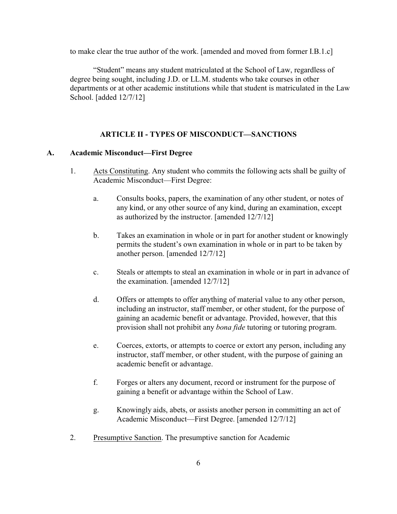to make clear the true author of the work. [amended and moved from former I.B.1.c]

"Student" means any student matriculated at the School of Law, regardless of degree being sought, including J.D. or LL.M. students who take courses in other departments or at other academic institutions while that student is matriculated in the Law School. [added 12/7/12]

#### **ARTICLE II - TYPES OF MISCONDUCT—SANCTIONS**

#### **A. Academic Misconduct—First Degree**

- 1. Acts Constituting. Any student who commits the following acts shall be guilty of Academic Misconduct—First Degree:
	- a. Consults books, papers, the examination of any other student, or notes of any kind, or any other source of any kind, during an examination, except as authorized by the instructor. [amended 12/7/12]
	- b. Takes an examination in whole or in part for another student or knowingly permits the student's own examination in whole or in part to be taken by another person. [amended 12/7/12]
	- c. Steals or attempts to steal an examination in whole or in part in advance of the examination. [amended 12/7/12]
	- d. Offers or attempts to offer anything of material value to any other person, including an instructor, staff member, or other student, for the purpose of gaining an academic benefit or advantage. Provided, however, that this provision shall not prohibit any *bona fide* tutoring or tutoring program.
	- e. Coerces, extorts, or attempts to coerce or extort any person, including any instructor, staff member, or other student, with the purpose of gaining an academic benefit or advantage.
	- f. Forges or alters any document, record or instrument for the purpose of gaining a benefit or advantage within the School of Law.
	- g. Knowingly aids, abets, or assists another person in committing an act of Academic Misconduct—First Degree. [amended 12/7/12]
- 2. Presumptive Sanction. The presumptive sanction for Academic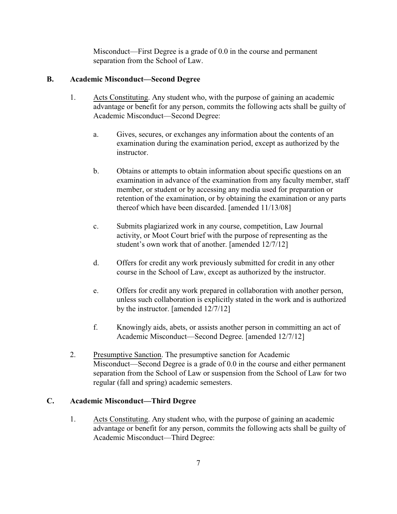Misconduct—First Degree is a grade of 0.0 in the course and permanent separation from the School of Law.

## **B. Academic Misconduct—Second Degree**

- 1. Acts Constituting. Any student who, with the purpose of gaining an academic advantage or benefit for any person, commits the following acts shall be guilty of Academic Misconduct—Second Degree:
	- a. Gives, secures, or exchanges any information about the contents of an examination during the examination period, except as authorized by the instructor.
	- b. Obtains or attempts to obtain information about specific questions on an examination in advance of the examination from any faculty member, staff member, or student or by accessing any media used for preparation or retention of the examination, or by obtaining the examination or any parts thereof which have been discarded. [amended 11/13/08]
	- c. Submits plagiarized work in any course, competition, Law Journal activity, or Moot Court brief with the purpose of representing as the student's own work that of another. [amended 12/7/12]
	- d. Offers for credit any work previously submitted for credit in any other course in the School of Law, except as authorized by the instructor.
	- e. Offers for credit any work prepared in collaboration with another person, unless such collaboration is explicitly stated in the work and is authorized by the instructor. [amended 12/7/12]
	- f. Knowingly aids, abets, or assists another person in committing an act of Academic Misconduct—Second Degree. [amended 12/7/12]
- 2. Presumptive Sanction. The presumptive sanction for Academic Misconduct—Second Degree is a grade of 0.0 in the course and either permanent separation from the School of Law or suspension from the School of Law for two regular (fall and spring) academic semesters.

## **C. Academic Misconduct—Third Degree**

1. Acts Constituting. Any student who, with the purpose of gaining an academic advantage or benefit for any person, commits the following acts shall be guilty of Academic Misconduct—Third Degree: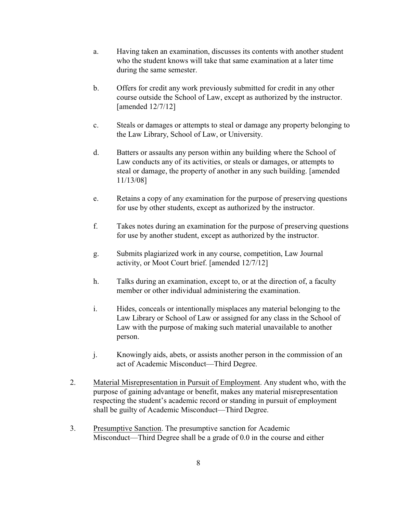- a. Having taken an examination, discusses its contents with another student who the student knows will take that same examination at a later time during the same semester.
- b. Offers for credit any work previously submitted for credit in any other course outside the School of Law, except as authorized by the instructor. [amended 12/7/12]
- c. Steals or damages or attempts to steal or damage any property belonging to the Law Library, School of Law, or University.
- d. Batters or assaults any person within any building where the School of Law conducts any of its activities, or steals or damages, or attempts to steal or damage, the property of another in any such building. [amended 11/13/08]
- e. Retains a copy of any examination for the purpose of preserving questions for use by other students, except as authorized by the instructor.
- f. Takes notes during an examination for the purpose of preserving questions for use by another student, except as authorized by the instructor.
- g. Submits plagiarized work in any course, competition, Law Journal activity, or Moot Court brief. [amended 12/7/12]
- h. Talks during an examination, except to, or at the direction of, a faculty member or other individual administering the examination.
- i. Hides, conceals or intentionally misplaces any material belonging to the Law Library or School of Law or assigned for any class in the School of Law with the purpose of making such material unavailable to another person.
- j. Knowingly aids, abets, or assists another person in the commission of an act of Academic Misconduct—Third Degree.
- 2. Material Misrepresentation in Pursuit of Employment. Any student who, with the purpose of gaining advantage or benefit, makes any material misrepresentation respecting the student's academic record or standing in pursuit of employment shall be guilty of Academic Misconduct—Third Degree.
- 3. Presumptive Sanction. The presumptive sanction for Academic Misconduct—Third Degree shall be a grade of 0.0 in the course and either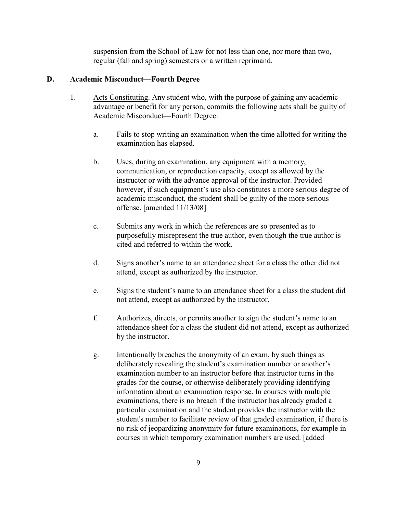suspension from the School of Law for not less than one, nor more than two, regular (fall and spring) semesters or a written reprimand.

#### **D. Academic Misconduct—Fourth Degree**

- 1. Acts Constituting. Any student who, with the purpose of gaining any academic advantage or benefit for any person, commits the following acts shall be guilty of Academic Misconduct—Fourth Degree:
	- a. Fails to stop writing an examination when the time allotted for writing the examination has elapsed.
	- b. Uses, during an examination, any equipment with a memory, communication, or reproduction capacity, except as allowed by the instructor or with the advance approval of the instructor. Provided however, if such equipment's use also constitutes a more serious degree of academic misconduct, the student shall be guilty of the more serious offense. [amended 11/13/08]
	- c. Submits any work in which the references are so presented as to purposefully misrepresent the true author, even though the true author is cited and referred to within the work.
	- d. Signs another's name to an attendance sheet for a class the other did not attend, except as authorized by the instructor.
	- e. Signs the student's name to an attendance sheet for a class the student did not attend, except as authorized by the instructor.
	- f. Authorizes, directs, or permits another to sign the student's name to an attendance sheet for a class the student did not attend, except as authorized by the instructor.
	- g. Intentionally breaches the anonymity of an exam, by such things as deliberately revealing the student's examination number or another's examination number to an instructor before that instructor turns in the grades for the course, or otherwise deliberately providing identifying information about an examination response. In courses with multiple examinations, there is no breach if the instructor has already graded a particular examination and the student provides the instructor with the student's number to facilitate review of that graded examination, if there is no risk of jeopardizing anonymity for future examinations, for example in courses in which temporary examination numbers are used. [added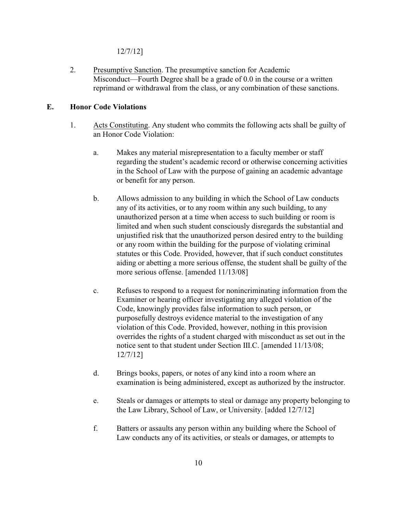12/7/12]

2. Presumptive Sanction. The presumptive sanction for Academic Misconduct—Fourth Degree shall be a grade of 0.0 in the course or a written reprimand or withdrawal from the class, or any combination of these sanctions.

## **E. Honor Code Violations**

- 1. Acts Constituting. Any student who commits the following acts shall be guilty of an Honor Code Violation:
	- a. Makes any material misrepresentation to a faculty member or staff regarding the student's academic record or otherwise concerning activities in the School of Law with the purpose of gaining an academic advantage or benefit for any person.
	- b. Allows admission to any building in which the School of Law conducts any of its activities, or to any room within any such building, to any unauthorized person at a time when access to such building or room is limited and when such student consciously disregards the substantial and unjustified risk that the unauthorized person desired entry to the building or any room within the building for the purpose of violating criminal statutes or this Code. Provided, however, that if such conduct constitutes aiding or abetting a more serious offense, the student shall be guilty of the more serious offense. [amended 11/13/08]
	- c. Refuses to respond to a request for nonincriminating information from the Examiner or hearing officer investigating any alleged violation of the Code, knowingly provides false information to such person, or purposefully destroys evidence material to the investigation of any violation of this Code. Provided, however, nothing in this provision overrides the rights of a student charged with misconduct as set out in the notice sent to that student under Section III.C. [amended 11/13/08; 12/7/12]
	- d. Brings books, papers, or notes of any kind into a room where an examination is being administered, except as authorized by the instructor.
	- e. Steals or damages or attempts to steal or damage any property belonging to the Law Library, School of Law, or University. [added 12/7/12]
	- f. Batters or assaults any person within any building where the School of Law conducts any of its activities, or steals or damages, or attempts to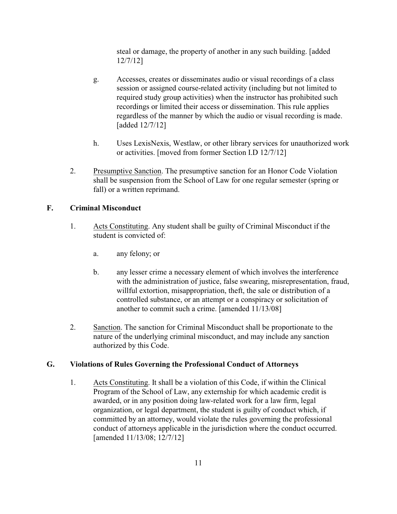steal or damage, the property of another in any such building. [added 12/7/12]

- g. Accesses, creates or disseminates audio or visual recordings of a class session or assigned course-related activity (including but not limited to required study group activities) when the instructor has prohibited such recordings or limited their access or dissemination. This rule applies regardless of the manner by which the audio or visual recording is made. [added 12/7/12]
- h. Uses LexisNexis, Westlaw, or other library services for unauthorized work or activities. [moved from former Section I.D 12/7/12]
- 2. Presumptive Sanction. The presumptive sanction for an Honor Code Violation shall be suspension from the School of Law for one regular semester (spring or fall) or a written reprimand.

## **F. Criminal Misconduct**

- 1. Acts Constituting. Any student shall be guilty of Criminal Misconduct if the student is convicted of:
	- a. any felony; or
	- b. any lesser crime a necessary element of which involves the interference with the administration of justice, false swearing, misrepresentation, fraud, willful extortion, misappropriation, theft, the sale or distribution of a controlled substance, or an attempt or a conspiracy or solicitation of another to commit such a crime. [amended 11/13/08]
- 2. Sanction. The sanction for Criminal Misconduct shall be proportionate to the nature of the underlying criminal misconduct, and may include any sanction authorized by this Code.

## **G. Violations of Rules Governing the Professional Conduct of Attorneys**

1. Acts Constituting. It shall be a violation of this Code, if within the Clinical Program of the School of Law, any externship for which academic credit is awarded, or in any position doing law-related work for a law firm, legal organization, or legal department, the student is guilty of conduct which, if committed by an attorney, would violate the rules governing the professional conduct of attorneys applicable in the jurisdiction where the conduct occurred. [amended 11/13/08; 12/7/12]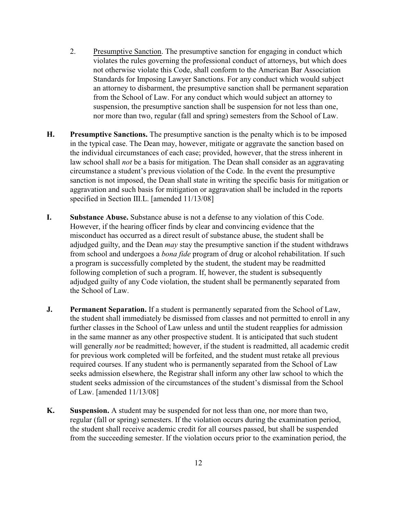- 2. Presumptive Sanction. The presumptive sanction for engaging in conduct which violates the rules governing the professional conduct of attorneys, but which does not otherwise violate this Code, shall conform to the American Bar Association Standards for Imposing Lawyer Sanctions. For any conduct which would subject an attorney to disbarment, the presumptive sanction shall be permanent separation from the School of Law. For any conduct which would subject an attorney to suspension, the presumptive sanction shall be suspension for not less than one, nor more than two, regular (fall and spring) semesters from the School of Law.
- **H. Presumptive Sanctions.** The presumptive sanction is the penalty which is to be imposed in the typical case. The Dean may, however, mitigate or aggravate the sanction based on the individual circumstances of each case; provided, however, that the stress inherent in law school shall *not* be a basis for mitigation. The Dean shall consider as an aggravating circumstance a student's previous violation of the Code. In the event the presumptive sanction is not imposed, the Dean shall state in writing the specific basis for mitigation or aggravation and such basis for mitigation or aggravation shall be included in the reports specified in Section III.L. [amended 11/13/08]
- **I. Substance Abuse.** Substance abuse is not a defense to any violation of this Code. However, if the hearing officer finds by clear and convincing evidence that the misconduct has occurred as a direct result of substance abuse, the student shall be adjudged guilty, and the Dean *may* stay the presumptive sanction if the student withdraws from school and undergoes a *bona fide* program of drug or alcohol rehabilitation. If such a program is successfully completed by the student, the student may be readmitted following completion of such a program. If, however, the student is subsequently adjudged guilty of any Code violation, the student shall be permanently separated from the School of Law.
- **J. Permanent Separation.** If a student is permanently separated from the School of Law, the student shall immediately be dismissed from classes and not permitted to enroll in any further classes in the School of Law unless and until the student reapplies for admission in the same manner as any other prospective student. It is anticipated that such student will generally *not* be readmitted; however, if the student is readmitted, all academic credit for previous work completed will be forfeited, and the student must retake all previous required courses. If any student who is permanently separated from the School of Law seeks admission elsewhere, the Registrar shall inform any other law school to which the student seeks admission of the circumstances of the student's dismissal from the School of Law. [amended 11/13/08]
- **K. Suspension.** A student may be suspended for not less than one, nor more than two, regular (fall or spring) semesters. If the violation occurs during the examination period, the student shall receive academic credit for all courses passed, but shall be suspended from the succeeding semester. If the violation occurs prior to the examination period, the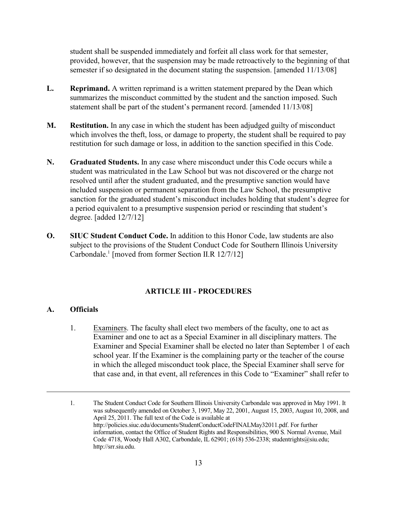student shall be suspended immediately and forfeit all class work for that semester, provided, however, that the suspension may be made retroactively to the beginning of that semester if so designated in the document stating the suspension. [amended 11/13/08]

- **L. Reprimand.** A written reprimand is a written statement prepared by the Dean which summarizes the misconduct committed by the student and the sanction imposed. Such statement shall be part of the student's permanent record. [amended 11/13/08]
- **M. Restitution.** In any case in which the student has been adjudged guilty of misconduct which involves the theft, loss, or damage to property, the student shall be required to pay restitution for such damage or loss, in addition to the sanction specified in this Code.
- **N. Graduated Students.** In any case where misconduct under this Code occurs while a student was matriculated in the Law School but was not discovered or the charge not resolved until after the student graduated, and the presumptive sanction would have included suspension or permanent separation from the Law School, the presumptive sanction for the graduated student's misconduct includes holding that student's degree for a period equivalent to a presumptive suspension period or rescinding that student's degree. [added 12/7/12]
- **O. SIUC Student Conduct Code.** In addition to this Honor Code, law students are also subject to the provisions of the Student Conduct Code for Southern Illinois University Carbondale.<sup>1</sup> [moved from former Section II.R  $12/7/12$ ]

## **ARTICLE III - PROCEDURES**

#### **A. Officials**

1. Examiners. The faculty shall elect two members of the faculty, one to act as Examiner and one to act as a Special Examiner in all disciplinary matters. The Examiner and Special Examiner shall be elected no later than September 1 of each school year. If the Examiner is the complaining party or the teacher of the course in which the alleged misconduct took place, the Special Examiner shall serve for that case and, in that event, all references in this Code to "Examiner" shall refer to

<sup>1.</sup> The Student Conduct Code for Southern Illinois University Carbondale was approved in May 1991. It was subsequently amended on October 3, 1997, May 22, 2001, August 15, 2003, August 10, 2008, and April 25, 2011. The full text of the Code is available at http://policies.siuc.edu/documents/StudentConductCodeFINALMay32011.pdf. For further information, contact the Office of Student Rights and Responsibilities, 900 S. Normal Avenue, Mail Code 4718, Woody Hall A302, Carbondale, IL 62901; (618) 536-2338; studentrights@siu.edu; http://srr.siu.edu.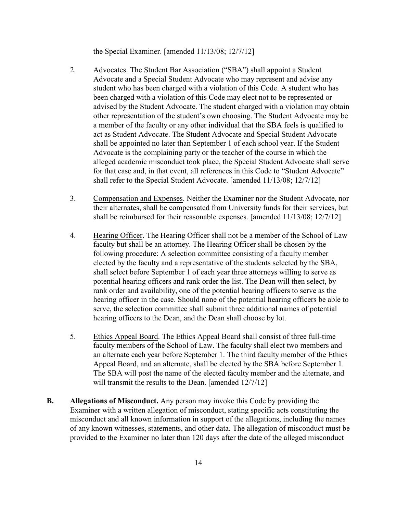the Special Examiner. [amended 11/13/08; 12/7/12]

- 2. Advocates. The Student Bar Association ("SBA") shall appoint a Student Advocate and a Special Student Advocate who may represent and advise any student who has been charged with a violation of this Code. A student who has been charged with a violation of this Code may elect not to be represented or advised by the Student Advocate. The student charged with a violation may obtain other representation of the student's own choosing. The Student Advocate may be a member of the faculty or any other individual that the SBA feels is qualified to act as Student Advocate. The Student Advocate and Special Student Advocate shall be appointed no later than September 1 of each school year. If the Student Advocate is the complaining party or the teacher of the course in which the alleged academic misconduct took place, the Special Student Advocate shall serve for that case and, in that event, all references in this Code to "Student Advocate" shall refer to the Special Student Advocate. [amended 11/13/08; 12/7/12]
- 3. Compensation and Expenses. Neither the Examiner nor the Student Advocate, nor their alternates, shall be compensated from University funds for their services, but shall be reimbursed for their reasonable expenses. [amended 11/13/08; 12/7/12]
- 4. Hearing Officer. The Hearing Officer shall not be a member of the School of Law faculty but shall be an attorney. The Hearing Officer shall be chosen by the following procedure: A selection committee consisting of a faculty member elected by the faculty and a representative of the students selected by the SBA, shall select before September 1 of each year three attorneys willing to serve as potential hearing officers and rank order the list. The Dean will then select, by rank order and availability, one of the potential hearing officers to serve as the hearing officer in the case. Should none of the potential hearing officers be able to serve, the selection committee shall submit three additional names of potential hearing officers to the Dean, and the Dean shall choose by lot.
- 5. Ethics Appeal Board. The Ethics Appeal Board shall consist of three full-time faculty members of the School of Law. The faculty shall elect two members and an alternate each year before September 1. The third faculty member of the Ethics Appeal Board, and an alternate, shall be elected by the SBA before September 1. The SBA will post the name of the elected faculty member and the alternate, and will transmit the results to the Dean. [amended  $12/7/12$ ]
- **B. Allegations of Misconduct.** Any person may invoke this Code by providing the Examiner with a written allegation of misconduct, stating specific acts constituting the misconduct and all known information in support of the allegations, including the names of any known witnesses, statements, and other data. The allegation of misconduct must be provided to the Examiner no later than 120 days after the date of the alleged misconduct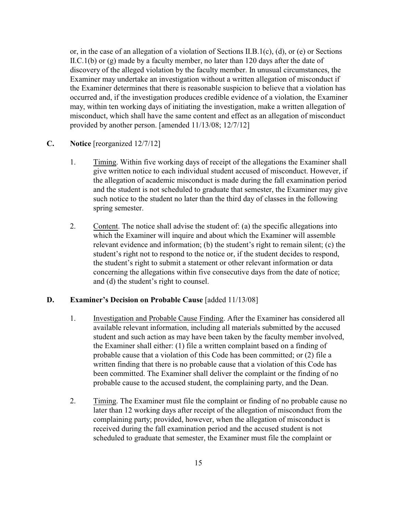or, in the case of an allegation of a violation of Sections II.B.1(c), (d), or (e) or Sections II.C.1(b) or (g) made by a faculty member, no later than 120 days after the date of discovery of the alleged violation by the faculty member. In unusual circumstances, the Examiner may undertake an investigation without a written allegation of misconduct if the Examiner determines that there is reasonable suspicion to believe that a violation has occurred and, if the investigation produces credible evidence of a violation, the Examiner may, within ten working days of initiating the investigation, make a written allegation of misconduct, which shall have the same content and effect as an allegation of misconduct provided by another person. [amended 11/13/08; 12/7/12]

- **C. Notice** [reorganized 12/7/12]
	- 1. Timing. Within five working days of receipt of the allegations the Examiner shall give written notice to each individual student accused of misconduct. However, if the allegation of academic misconduct is made during the fall examination period and the student is not scheduled to graduate that semester, the Examiner may give such notice to the student no later than the third day of classes in the following spring semester.
	- 2. Content. The notice shall advise the student of: (a) the specific allegations into which the Examiner will inquire and about which the Examiner will assemble relevant evidence and information; (b) the student's right to remain silent; (c) the student's right not to respond to the notice or, if the student decides to respond, the student's right to submit a statement or other relevant information or data concerning the allegations within five consecutive days from the date of notice; and (d) the student's right to counsel.

## **D. Examiner's Decision on Probable Cause** [added 11/13/08]

- 1. Investigation and Probable Cause Finding. After the Examiner has considered all available relevant information, including all materials submitted by the accused student and such action as may have been taken by the faculty member involved, the Examiner shall either: (1) file a written complaint based on a finding of probable cause that a violation of this Code has been committed; or (2) file a written finding that there is no probable cause that a violation of this Code has been committed. The Examiner shall deliver the complaint or the finding of no probable cause to the accused student, the complaining party, and the Dean.
- 2. Timing. The Examiner must file the complaint or finding of no probable cause no later than 12 working days after receipt of the allegation of misconduct from the complaining party; provided, however, when the allegation of misconduct is received during the fall examination period and the accused student is not scheduled to graduate that semester, the Examiner must file the complaint or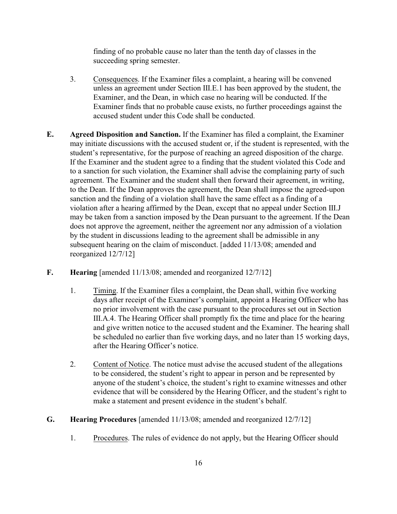finding of no probable cause no later than the tenth day of classes in the succeeding spring semester.

- 3. Consequences. If the Examiner files a complaint, a hearing will be convened unless an agreement under Section III.E.1 has been approved by the student, the Examiner, and the Dean, in which case no hearing will be conducted. If the Examiner finds that no probable cause exists, no further proceedings against the accused student under this Code shall be conducted.
- **E. Agreed Disposition and Sanction.** If the Examiner has filed a complaint, the Examiner may initiate discussions with the accused student or, if the student is represented, with the student's representative, for the purpose of reaching an agreed disposition of the charge. If the Examiner and the student agree to a finding that the student violated this Code and to a sanction for such violation, the Examiner shall advise the complaining party of such agreement. The Examiner and the student shall then forward their agreement, in writing, to the Dean. If the Dean approves the agreement, the Dean shall impose the agreed-upon sanction and the finding of a violation shall have the same effect as a finding of a violation after a hearing affirmed by the Dean, except that no appeal under Section III.J may be taken from a sanction imposed by the Dean pursuant to the agreement. If the Dean does not approve the agreement, neither the agreement nor any admission of a violation by the student in discussions leading to the agreement shall be admissible in any subsequent hearing on the claim of misconduct. [added 11/13/08; amended and reorganized 12/7/12]
- **F. Hearing** [amended 11/13/08; amended and reorganized 12/7/12]
	- 1. Timing. If the Examiner files a complaint, the Dean shall, within five working days after receipt of the Examiner's complaint, appoint a Hearing Officer who has no prior involvement with the case pursuant to the procedures set out in Section III.A.4. The Hearing Officer shall promptly fix the time and place for the hearing and give written notice to the accused student and the Examiner. The hearing shall be scheduled no earlier than five working days, and no later than 15 working days, after the Hearing Officer's notice.
	- 2. Content of Notice. The notice must advise the accused student of the allegations to be considered, the student's right to appear in person and be represented by anyone of the student's choice, the student's right to examine witnesses and other evidence that will be considered by the Hearing Officer, and the student's right to make a statement and present evidence in the student's behalf.
- **G. Hearing Procedures** [amended 11/13/08; amended and reorganized 12/7/12]
	- 1. Procedures. The rules of evidence do not apply, but the Hearing Officer should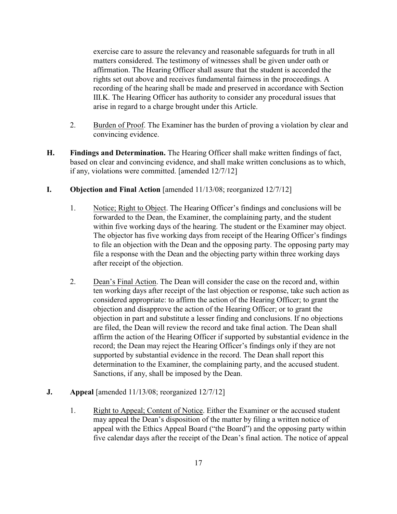exercise care to assure the relevancy and reasonable safeguards for truth in all matters considered. The testimony of witnesses shall be given under oath or affirmation. The Hearing Officer shall assure that the student is accorded the rights set out above and receives fundamental fairness in the proceedings. A recording of the hearing shall be made and preserved in accordance with Section III.K. The Hearing Officer has authority to consider any procedural issues that arise in regard to a charge brought under this Article.

- 2. Burden of Proof. The Examiner has the burden of proving a violation by clear and convincing evidence.
- **H. Findings and Determination.** The Hearing Officer shall make written findings of fact, based on clear and convincing evidence, and shall make written conclusions as to which, if any, violations were committed. [amended 12/7/12]

## **I. Objection and Final Action** [amended 11/13/08; reorganized 12/7/12]

- 1. Notice; Right to Object. The Hearing Officer's findings and conclusions will be forwarded to the Dean, the Examiner, the complaining party, and the student within five working days of the hearing. The student or the Examiner may object. The objector has five working days from receipt of the Hearing Officer's findings to file an objection with the Dean and the opposing party. The opposing party may file a response with the Dean and the objecting party within three working days after receipt of the objection.
- 2. Dean's Final Action. The Dean will consider the case on the record and, within ten working days after receipt of the last objection or response, take such action as considered appropriate: to affirm the action of the Hearing Officer; to grant the objection and disapprove the action of the Hearing Officer; or to grant the objection in part and substitute a lesser finding and conclusions. If no objections are filed, the Dean will review the record and take final action. The Dean shall affirm the action of the Hearing Officer if supported by substantial evidence in the record; the Dean may reject the Hearing Officer's findings only if they are not supported by substantial evidence in the record. The Dean shall report this determination to the Examiner, the complaining party, and the accused student. Sanctions, if any, shall be imposed by the Dean.

## **J. Appeal** [amended 11/13/08; reorganized 12/7/12]

1. Right to Appeal; Content of Notice. Either the Examiner or the accused student may appeal the Dean's disposition of the matter by filing a written notice of appeal with the Ethics Appeal Board ("the Board") and the opposing party within five calendar days after the receipt of the Dean's final action. The notice of appeal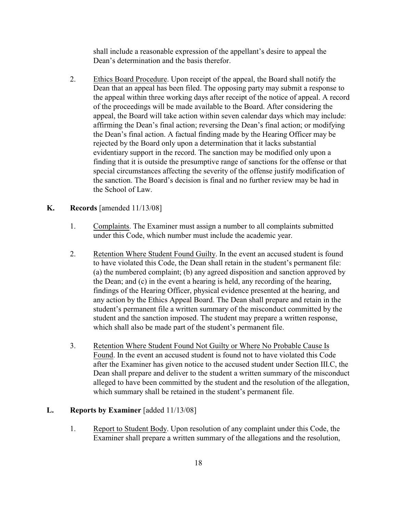shall include a reasonable expression of the appellant's desire to appeal the Dean's determination and the basis therefor.

2. Ethics Board Procedure. Upon receipt of the appeal, the Board shall notify the Dean that an appeal has been filed. The opposing party may submit a response to the appeal within three working days after receipt of the notice of appeal. A record of the proceedings will be made available to the Board. After considering the appeal, the Board will take action within seven calendar days which may include: affirming the Dean's final action; reversing the Dean's final action; or modifying the Dean's final action. A factual finding made by the Hearing Officer may be rejected by the Board only upon a determination that it lacks substantial evidentiary support in the record. The sanction may be modified only upon a finding that it is outside the presumptive range of sanctions for the offense or that special circumstances affecting the severity of the offense justify modification of the sanction. The Board's decision is final and no further review may be had in the School of Law.

#### **K. Records** [amended 11/13/08]

- 1. Complaints. The Examiner must assign a number to all complaints submitted under this Code, which number must include the academic year.
- 2. Retention Where Student Found Guilty. In the event an accused student is found to have violated this Code, the Dean shall retain in the student's permanent file: (a) the numbered complaint; (b) any agreed disposition and sanction approved by the Dean; and (c) in the event a hearing is held, any recording of the hearing, findings of the Hearing Officer, physical evidence presented at the hearing, and any action by the Ethics Appeal Board. The Dean shall prepare and retain in the student's permanent file a written summary of the misconduct committed by the student and the sanction imposed. The student may prepare a written response, which shall also be made part of the student's permanent file.
- 3. Retention Where Student Found Not Guilty or Where No Probable Cause Is Found. In the event an accused student is found not to have violated this Code after the Examiner has given notice to the accused student under Section III.C, the Dean shall prepare and deliver to the student a written summary of the misconduct alleged to have been committed by the student and the resolution of the allegation, which summary shall be retained in the student's permanent file.

#### **L. Reports by Examiner** [added 11/13/08]

1. Report to Student Body. Upon resolution of any complaint under this Code, the Examiner shall prepare a written summary of the allegations and the resolution,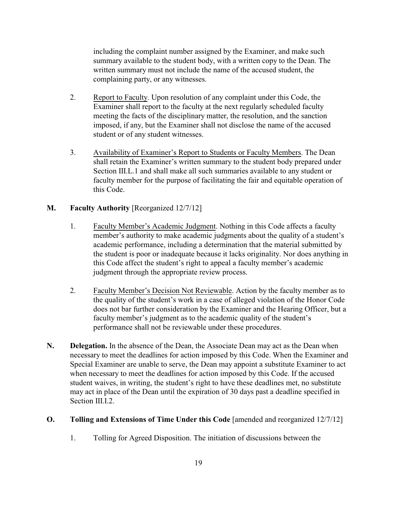including the complaint number assigned by the Examiner, and make such summary available to the student body, with a written copy to the Dean. The written summary must not include the name of the accused student, the complaining party, or any witnesses.

- 2. Report to Faculty. Upon resolution of any complaint under this Code, the Examiner shall report to the faculty at the next regularly scheduled faculty meeting the facts of the disciplinary matter, the resolution, and the sanction imposed, if any, but the Examiner shall not disclose the name of the accused student or of any student witnesses.
- 3. Availability of Examiner's Report to Students or Faculty Members. The Dean shall retain the Examiner's written summary to the student body prepared under Section III.L.1 and shall make all such summaries available to any student or faculty member for the purpose of facilitating the fair and equitable operation of this Code.

## **M. Faculty Authority** [Reorganized 12/7/12]

- 1. Faculty Member's Academic Judgment. Nothing in this Code affects a faculty member's authority to make academic judgments about the quality of a student's academic performance, including a determination that the material submitted by the student is poor or inadequate because it lacks originality. Nor does anything in this Code affect the student's right to appeal a faculty member's academic judgment through the appropriate review process.
- 2. Faculty Member's Decision Not Reviewable. Action by the faculty member as to the quality of the student's work in a case of alleged violation of the Honor Code does not bar further consideration by the Examiner and the Hearing Officer, but a faculty member's judgment as to the academic quality of the student's performance shall not be reviewable under these procedures.
- **N. Delegation.** In the absence of the Dean, the Associate Dean may act as the Dean when necessary to meet the deadlines for action imposed by this Code. When the Examiner and Special Examiner are unable to serve, the Dean may appoint a substitute Examiner to act when necessary to meet the deadlines for action imposed by this Code. If the accused student waives, in writing, the student's right to have these deadlines met, no substitute may act in place of the Dean until the expiration of 30 days past a deadline specified in Section III.I.2.

#### **O. Tolling and Extensions of Time Under this Code** [amended and reorganized 12/7/12]

1. Tolling for Agreed Disposition. The initiation of discussions between the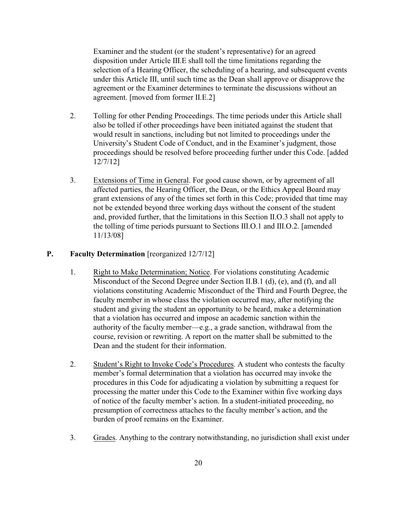Examiner and the student (or the student's representative) for an agreed disposition under Article III.E shall toll the time limitations regarding the selection of a Hearing Officer, the scheduling of a hearing, and subsequent events under this Article III, until such time as the Dean shall approve or disapprove the agreement or the Examiner determines to terminate the discussions without an agreement. [moved from former II.E.2]

- 2. Tolling for other Pending Proceedings. The time periods under this Article shall also be tolled if other proceedings have been initiated against the student that would result in sanctions, including but not limited to proceedings under the University's Student Code of Conduct, and in the Examiner's judgment, those proceedings should be resolved before proceeding further under this Code. [added 12/7/12]
- 3. Extensions of Time in General. For good cause shown, or by agreement of all affected parties, the Hearing Officer, the Dean, or the Ethics Appeal Board may grant extensions of any of the times set forth in this Code; provided that time may not be extended beyond three working days without the consent of the student and, provided further, that the limitations in this Section II.O.3 shall not apply to the tolling of time periods pursuant to Sections III.O.1 and III.O.2. [amended 11/13/08]

## **P. Faculty Determination** [reorganized 12/7/12]

- 1. Right to Make Determination; Notice. For violations constituting Academic Misconduct of the Second Degree under Section II.B.1 (d), (e), and (f), and all violations constituting Academic Misconduct of the Third and Fourth Degree, the faculty member in whose class the violation occurred may, after notifying the student and giving the student an opportunity to be heard, make a determination that a violation has occurred and impose an academic sanction within the authority of the faculty member—e.g., a grade sanction, withdrawal from the course, revision or rewriting. A report on the matter shall be submitted to the Dean and the student for their information.
- 2. Student's Right to Invoke Code's Procedures. A student who contests the faculty member's formal determination that a violation has occurred may invoke the procedures in this Code for adjudicating a violation by submitting a request for processing the matter under this Code to the Examiner within five working days of notice of the faculty member's action. In a student-initiated proceeding, no presumption of correctness attaches to the faculty member's action, and the burden of proof remains on the Examiner.
- 3. Grades. Anything to the contrary notwithstanding, no jurisdiction shall exist under